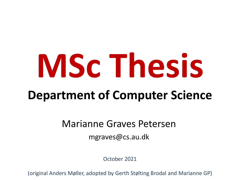# **MSc Thesis**

## **Department of Computer Science**

#### Marianne Graves Petersen

mgraves@cs.au.dk

October 2021

(original Anders Møller, adopted by Gerth Stølting Brodal and Marianne GP)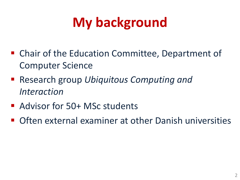# **My background**

- Chair of the Education Committee, Department of Computer Science
- Research group *Ubiquitous* Computing and *Interaction*
- Advisor for 50+ MSc students
- Often external examiner at other Danish universities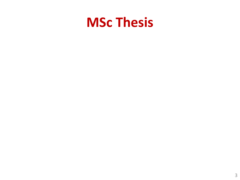## **MSc Thesis**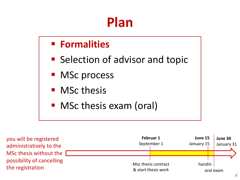## **Plan**

#### § **Formalities**

- Selection of advisor and topic
- MSc process
- MSc thesis
- MSc thesis exam (oral)

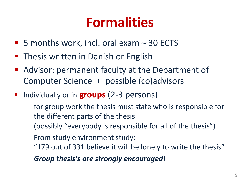## **Formalities**

- § 5 months work, incl. oral exam **~** 30 ECTS
- Thesis written in Danish or English
- Advisor: permanent faculty at the Department of Computer Science + possible (co)advisors
- § Individually or in **groups** (2-3 persons)
	- for group work the thesis must state who is responsible for the different parts of the thesis (possibly "everybody is responsible for all of the thesis")
	- From study environment study: "179 out of 331 believe it will be lonely to write the thesis"
	- *Group thesis's are strongly encouraged!*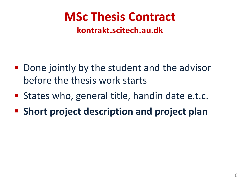## **MSc Thesis Contract**

#### **kontrakt.scitech.au.dk**

- Done jointly by the student and the advisor before the thesis work starts
- States who, general title, handin date e.t.c.
- § **Short project description and project plan**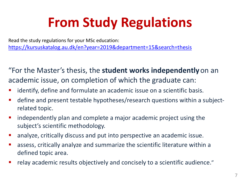# **From Study Regulations**

Read the study regulations for your MSc education: https://kursuskatalog.au.dk/en?year=2019&department=15&search=thesis

"For the Master's thesis, the **student works independently**on an academic issue, on completion of which the graduate can:

- identify, define and formulate an academic issue on a scientific basis.
- **•** define and present testable hypotheses/research questions within a strain related topic.
- **•** independently plan and complete a major academic project using the subject's scientific methodology.
- **•** analyze, critically discuss and put into perspective an academic issue.
- **assess, critically analyze and summarize the scientific literature within and strught** defined topic area.
- relay academic results objectively and concisely to a scientific audien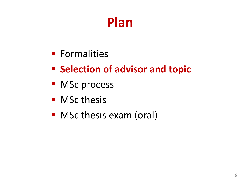## **Plan**

- § Formalities
- Selection of advisor and topic
- MSc process
- MSc thesis
- MSc thesis exam (oral)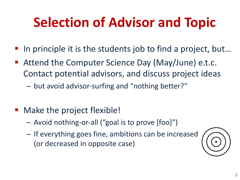# **Selection of Advisor and Topic**

- In principle it is the students job to find a project, but...
- Attend the Computer Science Day (May/June) e.t.c. Contact potential advisors, and discuss project ideas
	- but avoid advisor-surfing and "nothing better?"
- § Make the project flexible!
	- Avoid nothing-or-all ("goal is to prove [foo]")
	- If everything goes fine, ambitions can be increased (or decreased in opposite case)

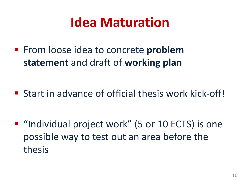## **Idea Maturation**

■ From loose idea to concrete **problem statement** and draft of **working plan**

■ Start in advance of official thesis work kick-off!

■ "Individual project work" (5 or 10 ECTS) is one possible way to test out an area before the thesis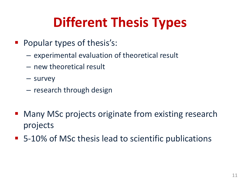# **Different Thesis Types**

- Popular types of thesis's:
	- experimental evaluation of theoretical result
	- new theoretical result
	- survey
	- research through design
- Many MSc projects originate from existing research projects
- 5-10% of MSc thesis lead to scientific publications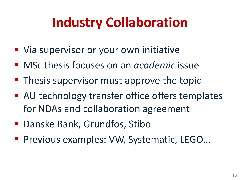# **Industry Collaboration**

- Via supervisor or your own initiative
- MSc thesis focuses on an *academic* issue
- Thesis supervisor must approve the topic
- AU technology transfer office offers templates for NDAs and collaboration agreement
- Danske Bank, Grundfos, Stibo
- Previous examples: VW, Systematic, LEGO...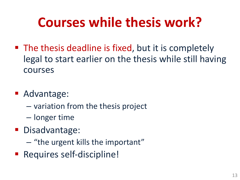# **Courses while thesis work?**

- The thesis deadline is fixed, but it is completely legal to start earlier on the thesis while still having courses
- Advantage:
	- variation from the thesis project
	- longer time
- Disadvantage:
	- "the urgent kills the important"
- Requires self-discipline!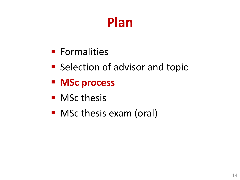## **Plan**

- § Formalities
- Selection of advisor and topic
- § **MSc process**
- MSc thesis
- MSc thesis exam (oral)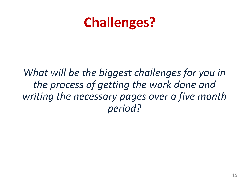## **Challenges?**

*What will be the biggest challenges for you in the process of getting the work done and writing the necessary pages over a five month period?*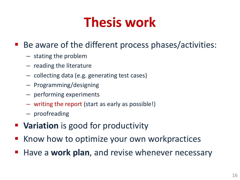## **Thesis work**

#### Be aware of the different process phases/activities:

- stating the problem
- reading the literature
- collecting data (e.g. generating test cases)
- Programming/designing
- performing experiments
- writing the report (start as early as possible!)
- proofreading
- Variation is good for productivity
- Know how to optimize your own workpractices
- § Have a **work plan**, and revise whenever necessary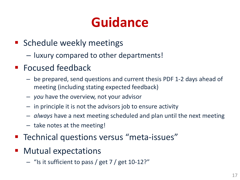## **Guidance**

- Schedule weekly meetings
	- luxury compared to other departments!
- Focused feedback
	- be prepared, send questions and current thesis PDF 1-2 days ahead of meeting (including stating expected feedback)
	- *you* have the overview, not your advisor
	- in principle it is not the advisors job to ensure activity
	- *always* have a next meeting scheduled and plan until the next meeting
	- take notes at the meeting!
- Technical questions versus "meta-issues"
- § Mutual expectations
	- "Is it sufficient to pass / get 7 / get 10-12?"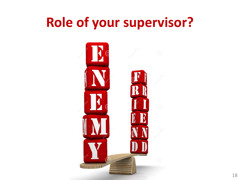## **Role of your supervisor?**

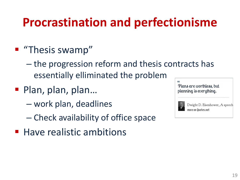## **Procrastination and perfectionisme**

#### ■ "Thesis swamp"

- the progression reform and thesis contracts has essentially elliminated the problem
- Plan, plan, plan...
	- work plan, deadlines
	- Check availability of office space
- Have realistic ambitions

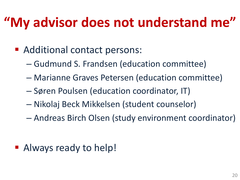## **"My advisor does not understand me"**

- Additional contact persons:
	- Gudmund S. Frandsen (education committee)
	- Marianne Graves Petersen (education committee)
	- Søren Poulsen (education coordinator, IT)
	- Nikolaj Beck Mikkelsen (student counselor)
	- Andreas Birch Olsen (study environment coordinator)

■ Always ready to help!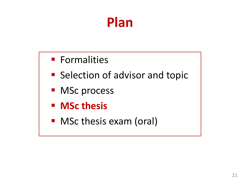## **Plan**

- Formalities
- Selection of advisor and topic
- MSc process
- § **MSc thesis**
- MSc thesis exam (oral)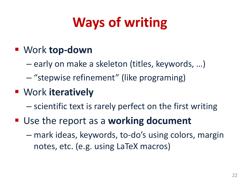# **Ways of writing**

#### § Work **top-down**

- early on make a skeleton (titles, keywords, …)
- "stepwise refinement" (like programing)

#### § Work **iteratively**

– scientific text is rarely perfect on the first writing

■ Use the report as a **working document** 

– mark ideas, keywords, to-do's using colors, margin notes, etc. (e.g. using LaTeX macros)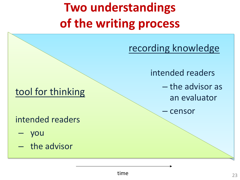## **Two understandings of the writing process**

recording knowledge

intended readers

– the advisor as an evaluator

– censor

#### tool for thinking

intended readers

- you
- the advisor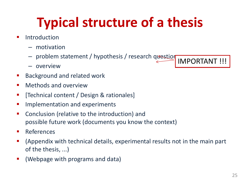# **Typical structure of a thesis**

- **•** Introduction
	- motivation
	- problem statement / hypothesis / research question IMPORTANT !!!
	- overview
- Background and related work
- Methods and overview
- [Technical content / Design & rationales]
- **E** Implementation and experiments
- Conclusion (relative to the introduction) and possible future work (documents you know the context)
- References
- (Appendix with technical details, experimental results not in the main part of the thesis, ...)
- (Webpage with programs and data)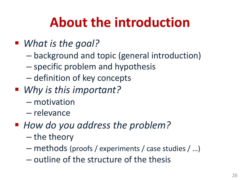## **About the introduction**

#### ■ *What is the goal?*

- background and topic (general introduction)
- specific problem and hypothesis
- definition of key concepts
- Why *is this important?* 
	- motivation
	- relevance
- How do you address the problem?
	- the theory
	- methods (proofs / experiments / case studies / …)
	- outline of the structure of the thesis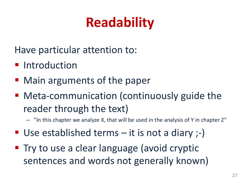# **Readability**

Have particular attention to:

- **Introduction**
- Main arguments of the paper
- Meta-communication (continuously guide the reader through the text)
	- "In this chapter we analyze X, that will be used in the analysis of Y in chapter Z"
- Use established terms  $-$  it is not a diary  $;-$ )
- Try to use a clear language (avoid cryptic sentences and words not generally known)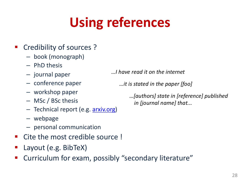# **Usi[ng re](https://arxiv.org/)ferences**

#### § Credibility of sources ?

- book (monograph)
- PhD thesis
- journal paper
- conference paper
- workshop paper
- MSc / BSc thesis
- Technical report (e.g. arxiv.org)
- webpage
- personal communication
- § Cite the most credible source !
- § Layout (e.g. BibTeX)
- § Curriculum for exam, possibly "secondary literature"

*…I have read it on the internet*

*…it is stated in the paper [foo]*

*…*[authors] state in [reference] *in [journal name] that...*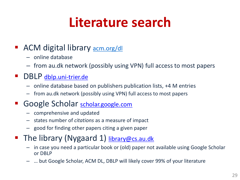# **Li[terature s](http://scholar.google.com/)earch**

#### ACM digital library **acm.org/dl**

- online database
- from au.dk network (possibly using VPN) full access to most pa

#### DBLP dblp.uni-trier.de

- online database based on publishers publication lists, +4 M entries
- from au.dk network (possibly using VPN) full access to most papers

#### Google Scholar scholar.google.com

- comprehensive and updated
- states number of *citations* as a measure of impact
- good for finding other papers citing a given paper
- The library (Nygaard 1) library@cs.au.dk
	- in case you need a particular book or (old) paper not available using Googl or DBLP
	- … but Google Scholar, ACM DL, DBLP will likely cover 99% of your literature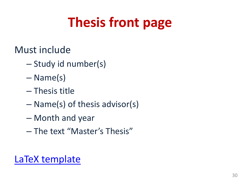# **Thesis front page**

Must include

- Study id number(s)
- [Name\(s\)](http://cs.au.dk/~amoeller/thesis-template/)
- Thesis title
- Name(s) of thesis advisor(s)
- Month and year
- The text "Master's Thesis"

LaTeX template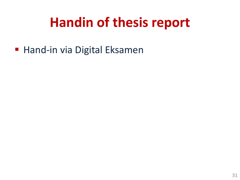## **Handin of thesis report**

■ Hand-in via Digital Eksamen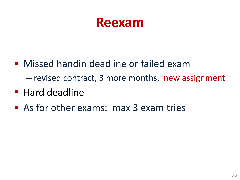## **Reexam**

- Missed handin deadline or failed exam – revised contract, 3 more months, new assignment
- Hard deadline
- As for other exams: max 3 exam tries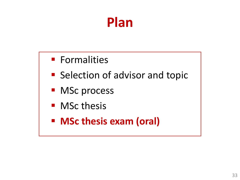## **Plan**

- Formalities
- Selection of advisor and topic
- MSc process
- MSc thesis
- § **MSc thesis exam (oral)**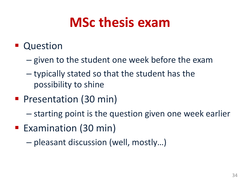## **MSc thesis exam**

#### ■ Question

- given to the student one week before the exam
- typically stated so that the student has the possibility to shine
- Presentation (30 min)
	- starting point is the question given one week earlier
- Examination (30 min)
	- pleasant discussion (well, mostly…)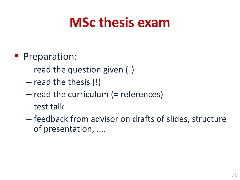## **MSc thesis exam**

#### **• Preparation:**

- read the question given (!)
- read the thesis (!)
- read the curriculum (= references)
- test talk
- feedback from advisor on drafts of slides, structure of presentation, ....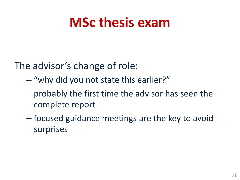## **MSc thesis exam**

The advisor's change of role:

- "why did you not state this earlier?"
- probably the first time the advisor has seen the complete report
- focused guidance meetings are the key to avoid surprises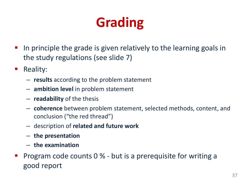# **Grading**

- In principle the grade is given relatively to the learning goals in the study regulations (see slide 7)
- Reality:
	- **results** according to the problem statement
	- **ambition level** in problem statement
	- **readability** of the thesis
	- **coherence** between problem statement, selected methods, content, and conclusion ("the red thread")
	- description of **related and future work**
	- **the presentation**
	- **the examination**
- § Program code counts 0 % but is a prerequisite for writing a good report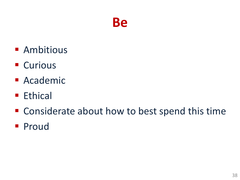### **Be**

- Ambitious
- Curious
- Academic
- Ethical
- Considerate about how to best spend this time
- § Proud